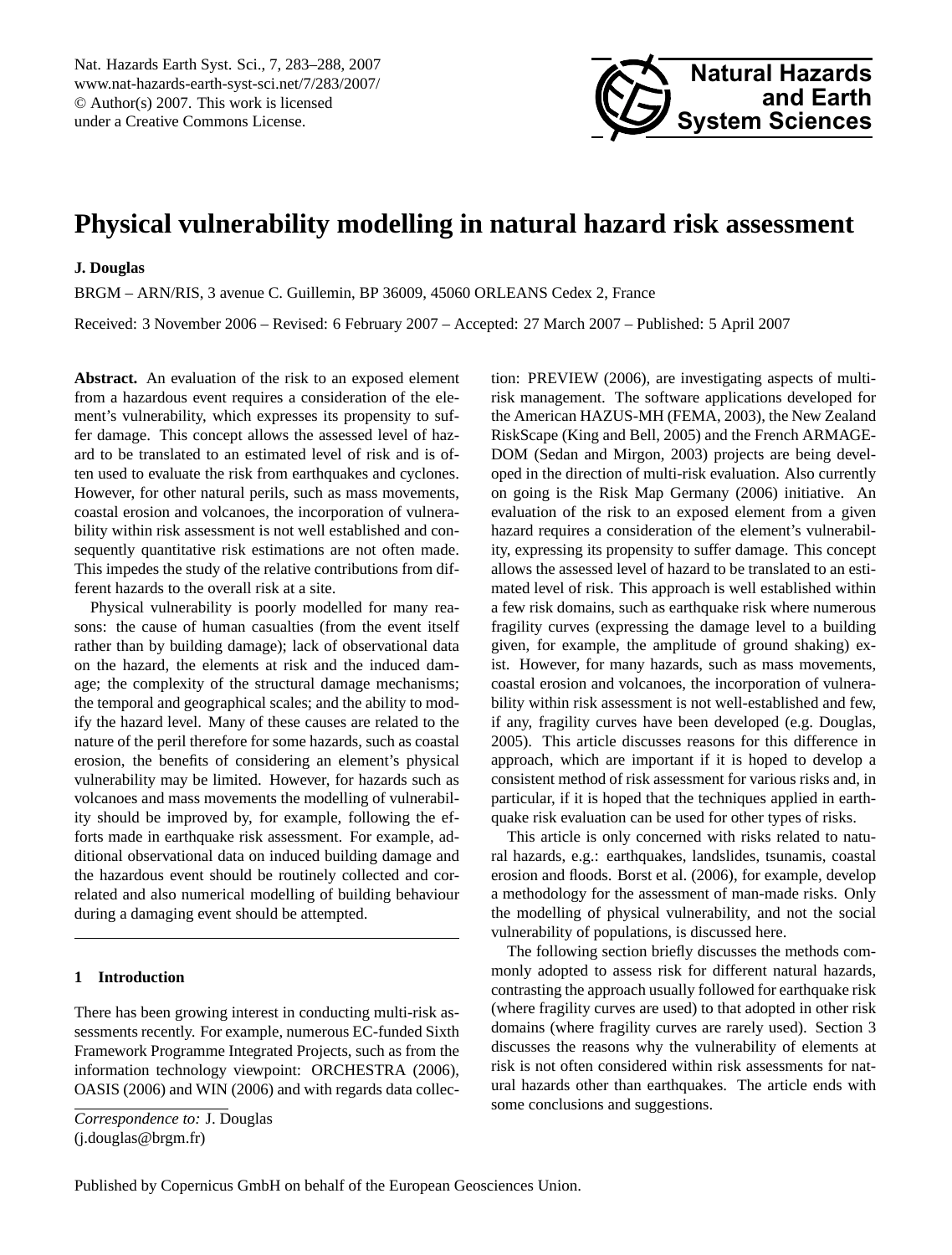<span id="page-0-0"></span>Nat. Hazards Earth Syst. Sci., 7, 283–288, 2007 www.nat-hazards-earth-syst-sci.net/7/283/2007/ © Author(s) 2007. This work is licensed under a Creative Commons License.



# **Physical vulnerability modelling in natural hazard risk assessment**

### **J. Douglas**

BRGM – ARN/RIS, 3 avenue C. Guillemin, BP 36009, 45060 ORLEANS Cedex 2, France

Received: 3 November 2006 – Revised: 6 February 2007 – Accepted: 27 March 2007 – Published: 5 April 2007

**Abstract.** An evaluation of the risk to an exposed element from a hazardous event requires a consideration of the element's vulnerability, which expresses its propensity to suffer damage. This concept allows the assessed level of hazard to be translated to an estimated level of risk and is often used to evaluate the risk from earthquakes and cyclones. However, for other natural perils, such as mass movements, coastal erosion and volcanoes, the incorporation of vulnerability within risk assessment is not well established and consequently quantitative risk estimations are not often made. This impedes the study of the relative contributions from different hazards to the overall risk at a site.

Physical vulnerability is poorly modelled for many reasons: the cause of human casualties (from the event itself rather than by building damage); lack of observational data on the hazard, the elements at risk and the induced damage; the complexity of the structural damage mechanisms; the temporal and geographical scales; and the ability to modify the hazard level. Many of these causes are related to the nature of the peril therefore for some hazards, such as coastal erosion, the benefits of considering an element's physical vulnerability may be limited. However, for hazards such as volcanoes and mass movements the modelling of vulnerability should be improved by, for example, following the efforts made in earthquake risk assessment. For example, additional observational data on induced building damage and the hazardous event should be routinely collected and correlated and also numerical modelling of building behaviour during a damaging event should be attempted.

# **1 Introduction**

There has been growing interest in conducting multi-risk assessments recently. For example, numerous EC-funded Sixth Framework Programme Integrated Projects, such as from the information technology viewpoint: [ORCHESTRA](#page-5-0) [\(2006\)](#page-5-0), [OASIS](#page-5-1) [\(2006\)](#page-5-1) and [WIN](#page-5-2) [\(2006\)](#page-5-2) and with regards data collection: [PREVIEW](#page-5-3) [\(2006\)](#page-5-3), are investigating aspects of multirisk management. The software applications developed for the American HAZUS-MH [\(FEMA,](#page-5-4) [2003\)](#page-5-4), the New Zealand RiskScape [\(King and Bell,](#page-5-5) [2005\)](#page-5-5) and the French ARMAGE-DOM [\(Sedan and Mirgon,](#page-5-6) [2003\)](#page-5-6) projects are being developed in the direction of multi-risk evaluation. Also currently on going is the [Risk Map Germany](#page-5-7) [\(2006\)](#page-5-7) initiative. An evaluation of the risk to an exposed element from a given hazard requires a consideration of the element's vulnerability, expressing its propensity to suffer damage. This concept allows the assessed level of hazard to be translated to an estimated level of risk. This approach is well established within a few risk domains, such as earthquake risk where numerous fragility curves (expressing the damage level to a building given, for example, the amplitude of ground shaking) exist. However, for many hazards, such as mass movements, coastal erosion and volcanoes, the incorporation of vulnerability within risk assessment is not well-established and few, if any, fragility curves have been developed (e.g. [Douglas,](#page-5-8) [2005\)](#page-5-8). This article discusses reasons for this difference in approach, which are important if it is hoped to develop a consistent method of risk assessment for various risks and, in particular, if it is hoped that the techniques applied in earthquake risk evaluation can be used for other types of risks.

This article is only concerned with risks related to natural hazards, e.g.: earthquakes, landslides, tsunamis, coastal erosion and floods. [Borst et al.](#page-5-9) [\(2006\)](#page-5-9), for example, develop a methodology for the assessment of man-made risks. Only the modelling of physical vulnerability, and not the social vulnerability of populations, is discussed here.

The following section briefly discusses the methods commonly adopted to assess risk for different natural hazards, contrasting the approach usually followed for earthquake risk (where fragility curves are used) to that adopted in other risk domains (where fragility curves are rarely used). Section [3](#page-2-0) discusses the reasons why the vulnerability of elements at risk is not often considered within risk assessments for natural hazards other than earthquakes. The article ends with some conclusions and suggestions.

*Correspondence to:* J. Douglas (j.douglas@brgm.fr)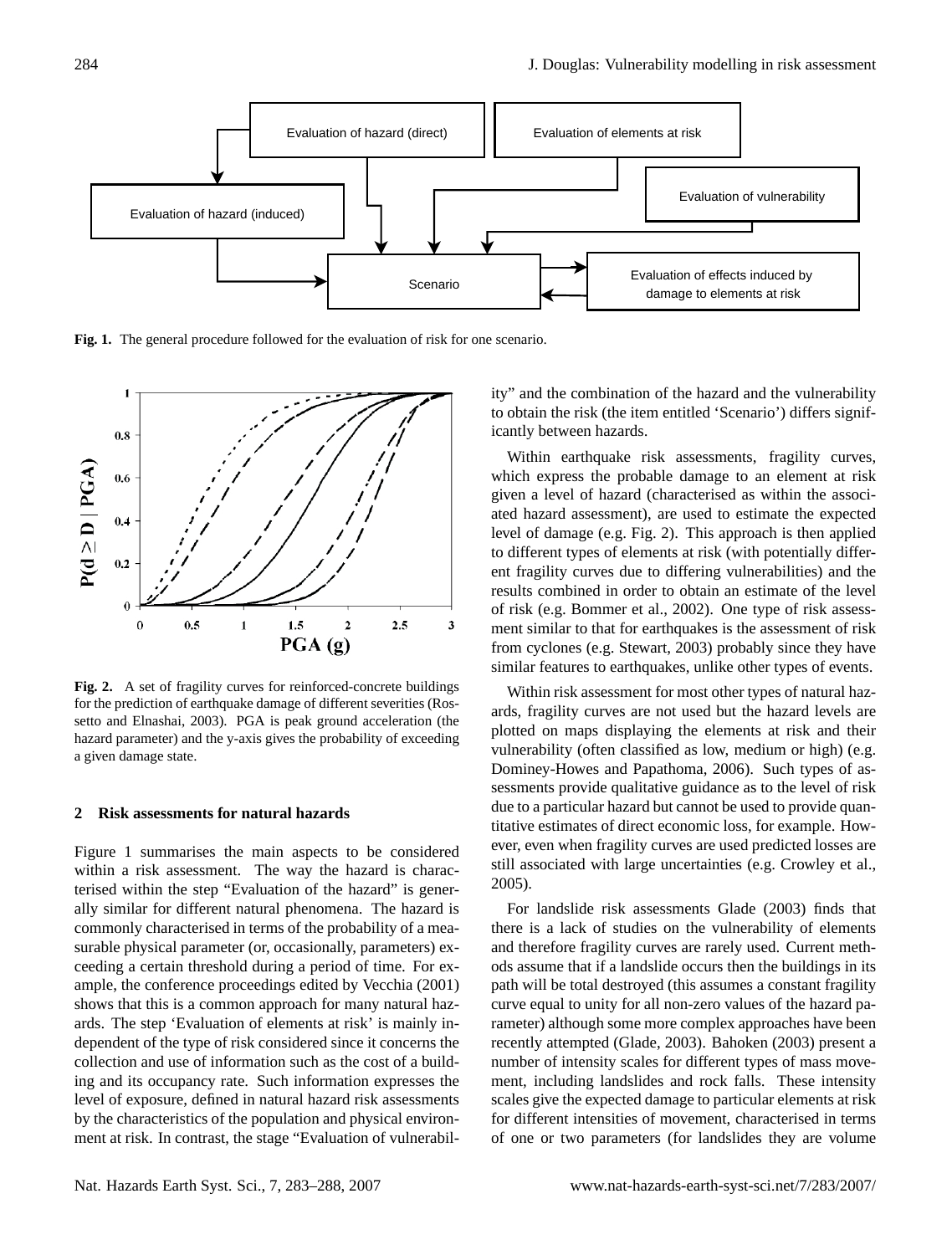

<span id="page-1-0"></span>**Fig. 1.** The general procedure followed for the evaluation of risk for one scenario.



<span id="page-1-1"></span>**Fig. 2.** A set of fragility curves for reinforced-concrete buildings for the prediction of earthquake damage of different severities [\(Ros](#page-5-10)[setto and Elnashai,](#page-5-10) [2003\)](#page-5-10). PGA is peak ground acceleration (the hazard parameter) and the y-axis gives the probability of exceeding a given damage state.

#### **2 Risk assessments for natural hazards**

Figure [1](#page-1-0) summarises the main aspects to be considered within a risk assessment. The way the hazard is characterised within the step "Evaluation of the hazard" is generally similar for different natural phenomena. The hazard is commonly characterised in terms of the probability of a measurable physical parameter (or, occasionally, parameters) exceeding a certain threshold during a period of time. For example, the conference proceedings edited by [Vecchia](#page-5-11) [\(2001\)](#page-5-11) shows that this is a common approach for many natural hazards. The step 'Evaluation of elements at risk' is mainly independent of the type of risk considered since it concerns the collection and use of information such as the cost of a building and its occupancy rate. Such information expresses the level of exposure, defined in natural hazard risk assessments by the characteristics of the population and physical environment at risk. In contrast, the stage "Evaluation of vulnerability" and the combination of the hazard and the vulnerability to obtain the risk (the item entitled 'Scenario') differs significantly between hazards.

Within earthquake risk assessments, fragility curves, which express the probable damage to an element at risk given a level of hazard (characterised as within the associated hazard assessment), are used to estimate the expected level of damage (e.g. Fig. [2\)](#page-1-1). This approach is then applied to different types of elements at risk (with potentially different fragility curves due to differing vulnerabilities) and the results combined in order to obtain an estimate of the level of risk (e.g. [Bommer et al.,](#page-5-12) [2002\)](#page-5-12). One type of risk assessment similar to that for earthquakes is the assessment of risk from cyclones (e.g. [Stewart,](#page-5-13) [2003\)](#page-5-13) probably since they have similar features to earthquakes, unlike other types of events.

Within risk assessment for most other types of natural hazards, fragility curves are not used but the hazard levels are plotted on maps displaying the elements at risk and their vulnerability (often classified as low, medium or high) (e.g. [Dominey-Howes and Papathoma,](#page-5-14) [2006\)](#page-5-14). Such types of assessments provide qualitative guidance as to the level of risk due to a particular hazard but cannot be used to provide quantitative estimates of direct economic loss, for example. However, even when fragility curves are used predicted losses are still associated with large uncertainties (e.g. [Crowley et al.,](#page-5-15) [2005\)](#page-5-15).

For landslide risk assessments [Glade](#page-5-16) [\(2003\)](#page-5-16) finds that there is a lack of studies on the vulnerability of elements and therefore fragility curves are rarely used. Current methods assume that if a landslide occurs then the buildings in its path will be total destroyed (this assumes a constant fragility curve equal to unity for all non-zero values of the hazard parameter) although some more complex approaches have been recently attempted [\(Glade,](#page-5-16) [2003\)](#page-5-16). [Bahoken](#page-4-0) [\(2003\)](#page-4-0) present a number of intensity scales for different types of mass movement, including landslides and rock falls. These intensity scales give the expected damage to particular elements at risk for different intensities of movement, characterised in terms of one or two parameters (for landslides they are volume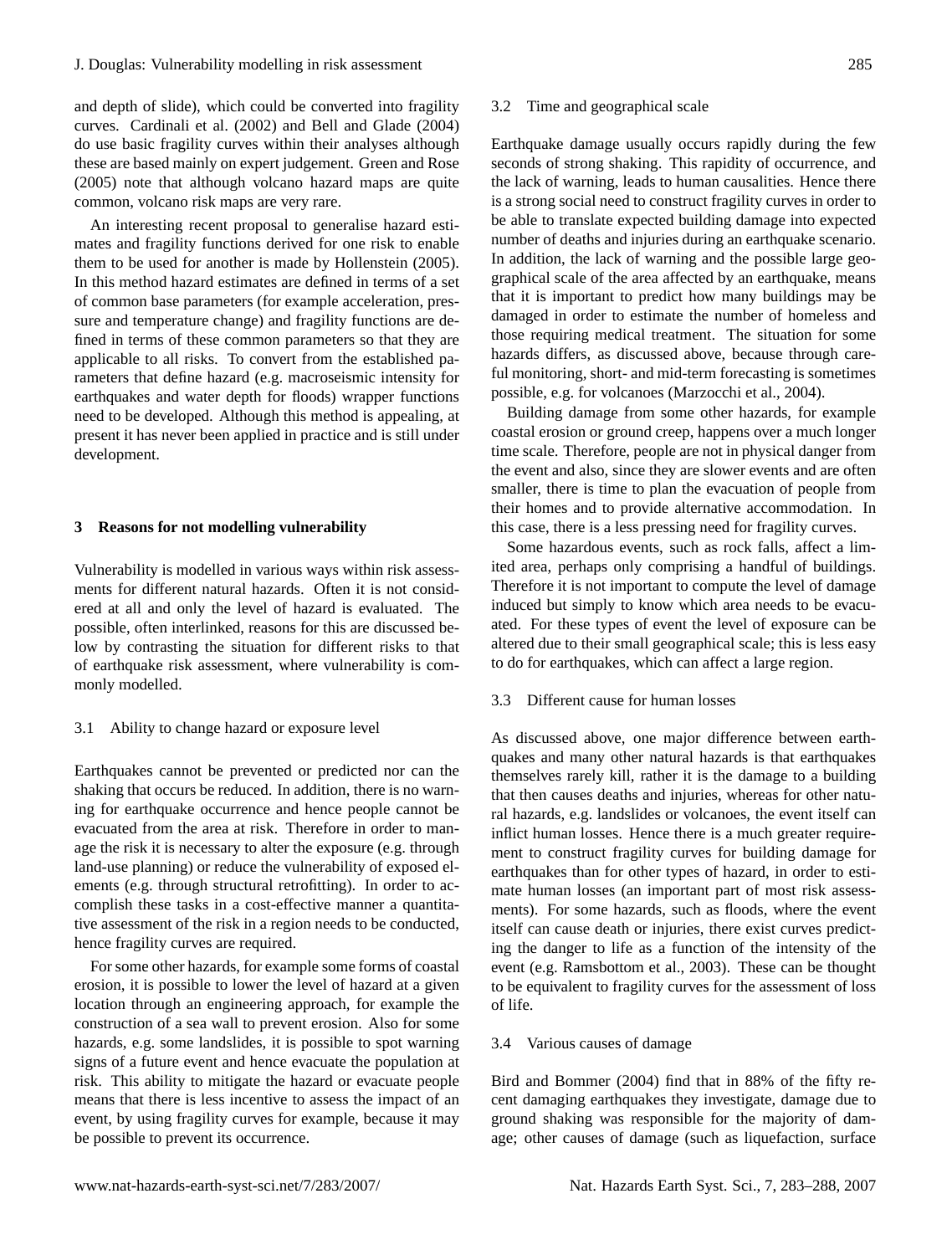# J. Douglas: Vulnerability modelling in risk assessment 285

and depth of slide), which could be converted into fragility curves. [Cardinali et al.](#page-5-17) [\(2002\)](#page-5-17) and [Bell and Glade](#page-5-18) [\(2004\)](#page-5-18) do use basic fragility curves within their analyses although these are based mainly on expert judgement. [Green and Rose](#page-5-19) [\(2005\)](#page-5-19) note that although volcano hazard maps are quite common, volcano risk maps are very rare.

An interesting recent proposal to generalise hazard estimates and fragility functions derived for one risk to enable them to be used for another is made by [Hollenstein](#page-5-20) [\(2005\)](#page-5-20). In this method hazard estimates are defined in terms of a set of common base parameters (for example acceleration, pressure and temperature change) and fragility functions are defined in terms of these common parameters so that they are applicable to all risks. To convert from the established parameters that define hazard (e.g. macroseismic intensity for earthquakes and water depth for floods) wrapper functions need to be developed. Although this method is appealing, at present it has never been applied in practice and is still under development.

### <span id="page-2-0"></span>**3 Reasons for not modelling vulnerability**

Vulnerability is modelled in various ways within risk assessments for different natural hazards. Often it is not considered at all and only the level of hazard is evaluated. The possible, often interlinked, reasons for this are discussed below by contrasting the situation for different risks to that of earthquake risk assessment, where vulnerability is commonly modelled.

# 3.1 Ability to change hazard or exposure level

Earthquakes cannot be prevented or predicted nor can the shaking that occurs be reduced. In addition, there is no warning for earthquake occurrence and hence people cannot be evacuated from the area at risk. Therefore in order to manage the risk it is necessary to alter the exposure (e.g. through land-use planning) or reduce the vulnerability of exposed elements (e.g. through structural retrofitting). In order to accomplish these tasks in a cost-effective manner a quantitative assessment of the risk in a region needs to be conducted, hence fragility curves are required.

For some other hazards, for example some forms of coastal erosion, it is possible to lower the level of hazard at a given location through an engineering approach, for example the construction of a sea wall to prevent erosion. Also for some hazards, e.g. some landslides, it is possible to spot warning signs of a future event and hence evacuate the population at risk. This ability to mitigate the hazard or evacuate people means that there is less incentive to assess the impact of an event, by using fragility curves for example, because it may be possible to prevent its occurrence.

#### 3.2 Time and geographical scale

Earthquake damage usually occurs rapidly during the few seconds of strong shaking. This rapidity of occurrence, and the lack of warning, leads to human causalities. Hence there is a strong social need to construct fragility curves in order to be able to translate expected building damage into expected number of deaths and injuries during an earthquake scenario. In addition, the lack of warning and the possible large geographical scale of the area affected by an earthquake, means that it is important to predict how many buildings may be damaged in order to estimate the number of homeless and those requiring medical treatment. The situation for some hazards differs, as discussed above, because through careful monitoring, short- and mid-term forecasting is sometimes possible, e.g. for volcanoes [\(Marzocchi et al.,](#page-5-21) [2004\)](#page-5-21).

Building damage from some other hazards, for example coastal erosion or ground creep, happens over a much longer time scale. Therefore, people are not in physical danger from the event and also, since they are slower events and are often smaller, there is time to plan the evacuation of people from their homes and to provide alternative accommodation. In this case, there is a less pressing need for fragility curves.

Some hazardous events, such as rock falls, affect a limited area, perhaps only comprising a handful of buildings. Therefore it is not important to compute the level of damage induced but simply to know which area needs to be evacuated. For these types of event the level of exposure can be altered due to their small geographical scale; this is less easy to do for earthquakes, which can affect a large region.

#### 3.3 Different cause for human losses

As discussed above, one major difference between earthquakes and many other natural hazards is that earthquakes themselves rarely kill, rather it is the damage to a building that then causes deaths and injuries, whereas for other natural hazards, e.g. landslides or volcanoes, the event itself can inflict human losses. Hence there is a much greater requirement to construct fragility curves for building damage for earthquakes than for other types of hazard, in order to estimate human losses (an important part of most risk assessments). For some hazards, such as floods, where the event itself can cause death or injuries, there exist curves predicting the danger to life as a function of the intensity of the event (e.g. [Ramsbottom et al.,](#page-5-22) [2003\)](#page-5-22). These can be thought to be equivalent to fragility curves for the assessment of loss of life.

#### 3.4 Various causes of damage

[Bird and Bommer](#page-5-23) [\(2004\)](#page-5-23) find that in 88% of the fifty recent damaging earthquakes they investigate, damage due to ground shaking was responsible for the majority of damage; other causes of damage (such as liquefaction, surface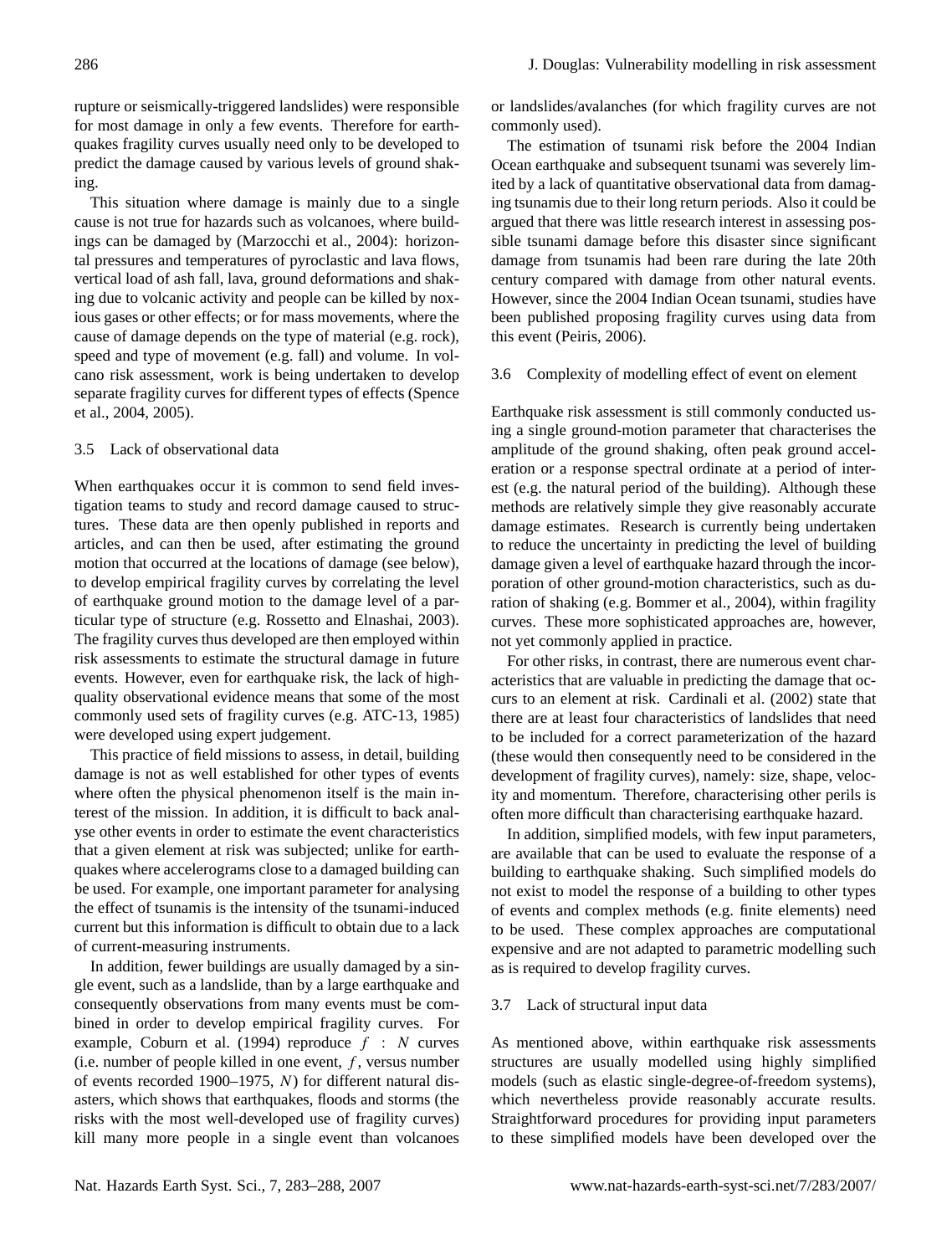rupture or seismically-triggered landslides) were responsible for most damage in only a few events. Therefore for earthquakes fragility curves usually need only to be developed to predict the damage caused by various levels of ground shaking.

This situation where damage is mainly due to a single cause is not true for hazards such as volcanoes, where buildings can be damaged by [\(Marzocchi et al.,](#page-5-21) [2004\)](#page-5-21): horizontal pressures and temperatures of pyroclastic and lava flows, vertical load of ash fall, lava, ground deformations and shaking due to volcanic activity and people can be killed by noxious gases or other effects; or for mass movements, where the cause of damage depends on the type of material (e.g. rock), speed and type of movement (e.g. fall) and volume. In volcano risk assessment, work is being undertaken to develop separate fragility curves for different types of effects [\(Spence](#page-5-24) [et al.,](#page-5-24) [2004,](#page-5-24) [2005\)](#page-5-25).

# 3.5 Lack of observational data

When earthquakes occur it is common to send field investigation teams to study and record damage caused to structures. These data are then openly published in reports and articles, and can then be used, after estimating the ground motion that occurred at the locations of damage (see below), to develop empirical fragility curves by correlating the level of earthquake ground motion to the damage level of a particular type of structure (e.g. [Rossetto and Elnashai,](#page-5-10) [2003\)](#page-5-10). The fragility curves thus developed are then employed within risk assessments to estimate the structural damage in future events. However, even for earthquake risk, the lack of highquality observational evidence means that some of the most commonly used sets of fragility curves (e.g. [ATC-13,](#page-4-1) [1985\)](#page-4-1) were developed using expert judgement.

This practice of field missions to assess, in detail, building damage is not as well established for other types of events where often the physical phenomenon itself is the main interest of the mission. In addition, it is difficult to back analyse other events in order to estimate the event characteristics that a given element at risk was subjected; unlike for earthquakes where accelerograms close to a damaged building can be used. For example, one important parameter for analysing the effect of tsunamis is the intensity of the tsunami-induced current but this information is difficult to obtain due to a lack of current-measuring instruments.

In addition, fewer buildings are usually damaged by a single event, such as a landslide, than by a large earthquake and consequently observations from many events must be combined in order to develop empirical fragility curves. For example, [Coburn et al.](#page-5-26) [\(1994\)](#page-5-26) reproduce  $f : N$  curves (i.e. number of people killed in one event,  $f$ , versus number of events recorded 1900–1975, N) for different natural disasters, which shows that earthquakes, floods and storms (the risks with the most well-developed use of fragility curves) kill many more people in a single event than volcanoes

or landslides/avalanches (for which fragility curves are not commonly used).

The estimation of tsunami risk before the 2004 Indian Ocean earthquake and subsequent tsunami was severely limited by a lack of quantitative observational data from damaging tsunamis due to their long return periods. Also it could be argued that there was little research interest in assessing possible tsunami damage before this disaster since significant damage from tsunamis had been rare during the late 20th century compared with damage from other natural events. However, since the 2004 Indian Ocean tsunami, studies have been published proposing fragility curves using data from this event [\(Peiris,](#page-5-27) [2006\)](#page-5-27).

### 3.6 Complexity of modelling effect of event on element

Earthquake risk assessment is still commonly conducted using a single ground-motion parameter that characterises the amplitude of the ground shaking, often peak ground acceleration or a response spectral ordinate at a period of interest (e.g. the natural period of the building). Although these methods are relatively simple they give reasonably accurate damage estimates. Research is currently being undertaken to reduce the uncertainty in predicting the level of building damage given a level of earthquake hazard through the incorporation of other ground-motion characteristics, such as duration of shaking (e.g. [Bommer et al.,](#page-5-28) [2004\)](#page-5-28), within fragility curves. These more sophisticated approaches are, however, not yet commonly applied in practice.

For other risks, in contrast, there are numerous event characteristics that are valuable in predicting the damage that occurs to an element at risk. [Cardinali et al.](#page-5-17) [\(2002\)](#page-5-17) state that there are at least four characteristics of landslides that need to be included for a correct parameterization of the hazard (these would then consequently need to be considered in the development of fragility curves), namely: size, shape, velocity and momentum. Therefore, characterising other perils is often more difficult than characterising earthquake hazard.

In addition, simplified models, with few input parameters, are available that can be used to evaluate the response of a building to earthquake shaking. Such simplified models do not exist to model the response of a building to other types of events and complex methods (e.g. finite elements) need to be used. These complex approaches are computational expensive and are not adapted to parametric modelling such as is required to develop fragility curves.

#### 3.7 Lack of structural input data

As mentioned above, within earthquake risk assessments structures are usually modelled using highly simplified models (such as elastic single-degree-of-freedom systems), which nevertheless provide reasonably accurate results. Straightforward procedures for providing input parameters to these simplified models have been developed over the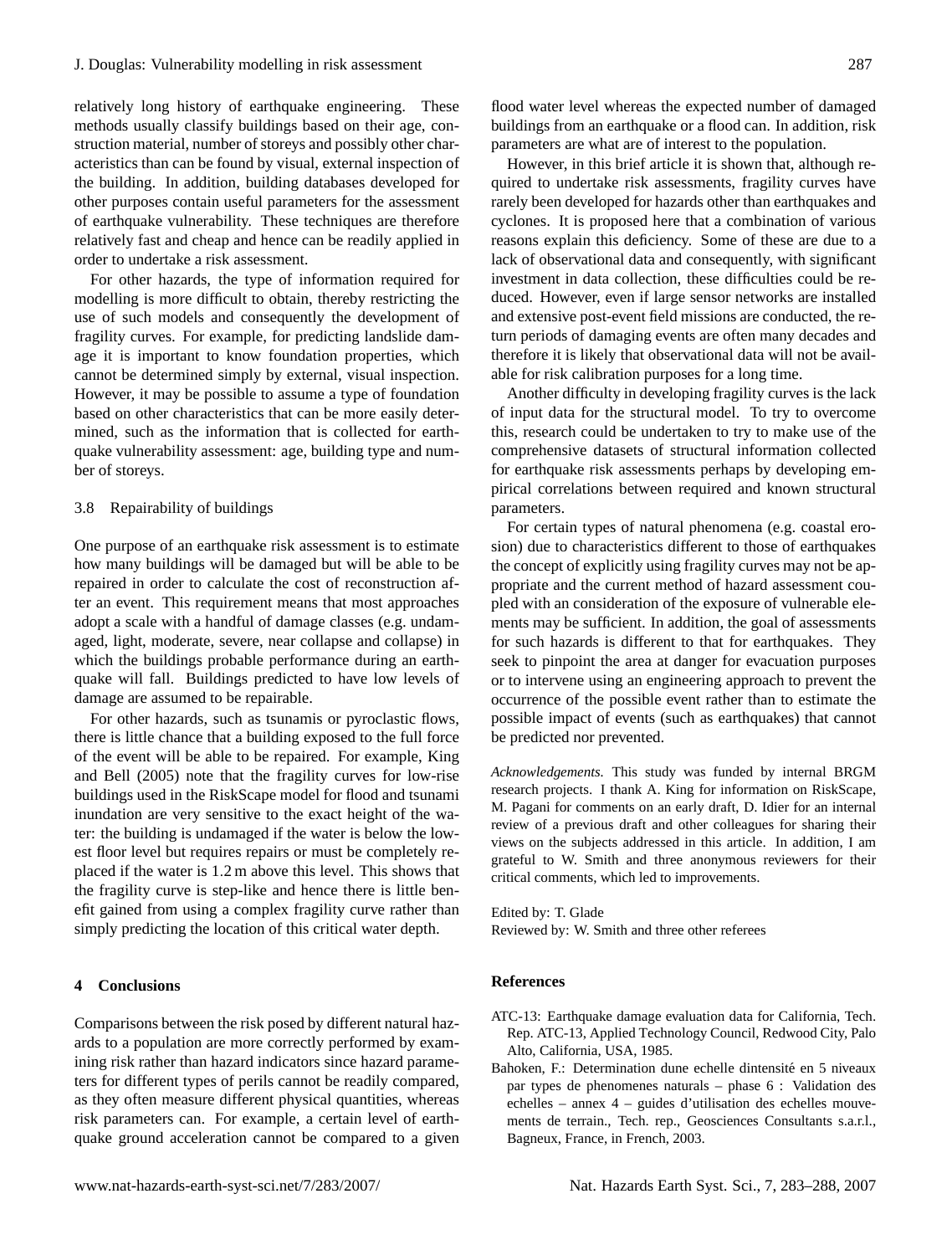relatively long history of earthquake engineering. These methods usually classify buildings based on their age, construction material, number of storeys and possibly other characteristics than can be found by visual, external inspection of the building. In addition, building databases developed for other purposes contain useful parameters for the assessment of earthquake vulnerability. These techniques are therefore relatively fast and cheap and hence can be readily applied in order to undertake a risk assessment.

For other hazards, the type of information required for modelling is more difficult to obtain, thereby restricting the use of such models and consequently the development of fragility curves. For example, for predicting landslide damage it is important to know foundation properties, which cannot be determined simply by external, visual inspection. However, it may be possible to assume a type of foundation based on other characteristics that can be more easily determined, such as the information that is collected for earthquake vulnerability assessment: age, building type and number of storeys.

# 3.8 Repairability of buildings

One purpose of an earthquake risk assessment is to estimate how many buildings will be damaged but will be able to be repaired in order to calculate the cost of reconstruction after an event. This requirement means that most approaches adopt a scale with a handful of damage classes (e.g. undamaged, light, moderate, severe, near collapse and collapse) in which the buildings probable performance during an earthquake will fall. Buildings predicted to have low levels of damage are assumed to be repairable.

For other hazards, such as tsunamis or pyroclastic flows, there is little chance that a building exposed to the full force of the event will be able to be repaired. For example, [King](#page-5-5) [and Bell](#page-5-5) [\(2005\)](#page-5-5) note that the fragility curves for low-rise buildings used in the RiskScape model for flood and tsunami inundation are very sensitive to the exact height of the water: the building is undamaged if the water is below the lowest floor level but requires repairs or must be completely replaced if the water is 1.2 m above this level. This shows that the fragility curve is step-like and hence there is little benefit gained from using a complex fragility curve rather than simply predicting the location of this critical water depth.

### **4 Conclusions**

Comparisons between the risk posed by different natural hazards to a population are more correctly performed by examining risk rather than hazard indicators since hazard parameters for different types of perils cannot be readily compared, as they often measure different physical quantities, whereas risk parameters can. For example, a certain level of earthquake ground acceleration cannot be compared to a given

parameters are what are of interest to the population. However, in this brief article it is shown that, although required to undertake risk assessments, fragility curves have rarely been developed for hazards other than earthquakes and cyclones. It is proposed here that a combination of various reasons explain this deficiency. Some of these are due to a lack of observational data and consequently, with significant investment in data collection, these difficulties could be reduced. However, even if large sensor networks are installed and extensive post-event field missions are conducted, the return periods of damaging events are often many decades and therefore it is likely that observational data will not be available for risk calibration purposes for a long time.

Another difficulty in developing fragility curves is the lack of input data for the structural model. To try to overcome this, research could be undertaken to try to make use of the comprehensive datasets of structural information collected for earthquake risk assessments perhaps by developing empirical correlations between required and known structural parameters.

For certain types of natural phenomena (e.g. coastal erosion) due to characteristics different to those of earthquakes the concept of explicitly using fragility curves may not be appropriate and the current method of hazard assessment coupled with an consideration of the exposure of vulnerable elements may be sufficient. In addition, the goal of assessments for such hazards is different to that for earthquakes. They seek to pinpoint the area at danger for evacuation purposes or to intervene using an engineering approach to prevent the occurrence of the possible event rather than to estimate the possible impact of events (such as earthquakes) that cannot be predicted nor prevented.

*Acknowledgements.* This study was funded by internal BRGM research projects. I thank A. King for information on RiskScape, M. Pagani for comments on an early draft, D. Idier for an internal review of a previous draft and other colleagues for sharing their views on the subjects addressed in this article. In addition, I am grateful to W. Smith and three anonymous reviewers for their critical comments, which led to improvements.

Edited by: T. Glade Reviewed by: W. Smith and three other referees

# **References**

- <span id="page-4-1"></span>ATC-13: Earthquake damage evaluation data for California, Tech. Rep. ATC-13, Applied Technology Council, Redwood City, Palo Alto, California, USA, 1985.
- <span id="page-4-0"></span>Bahoken, F.: Determination dune echelle dintensité en 5 niveaux par types de phenomenes naturals – phase 6 : Validation des echelles – annex 4 – guides d'utilisation des echelles mouvements de terrain., Tech. rep., Geosciences Consultants s.a.r.l., Bagneux, France, in French, 2003.